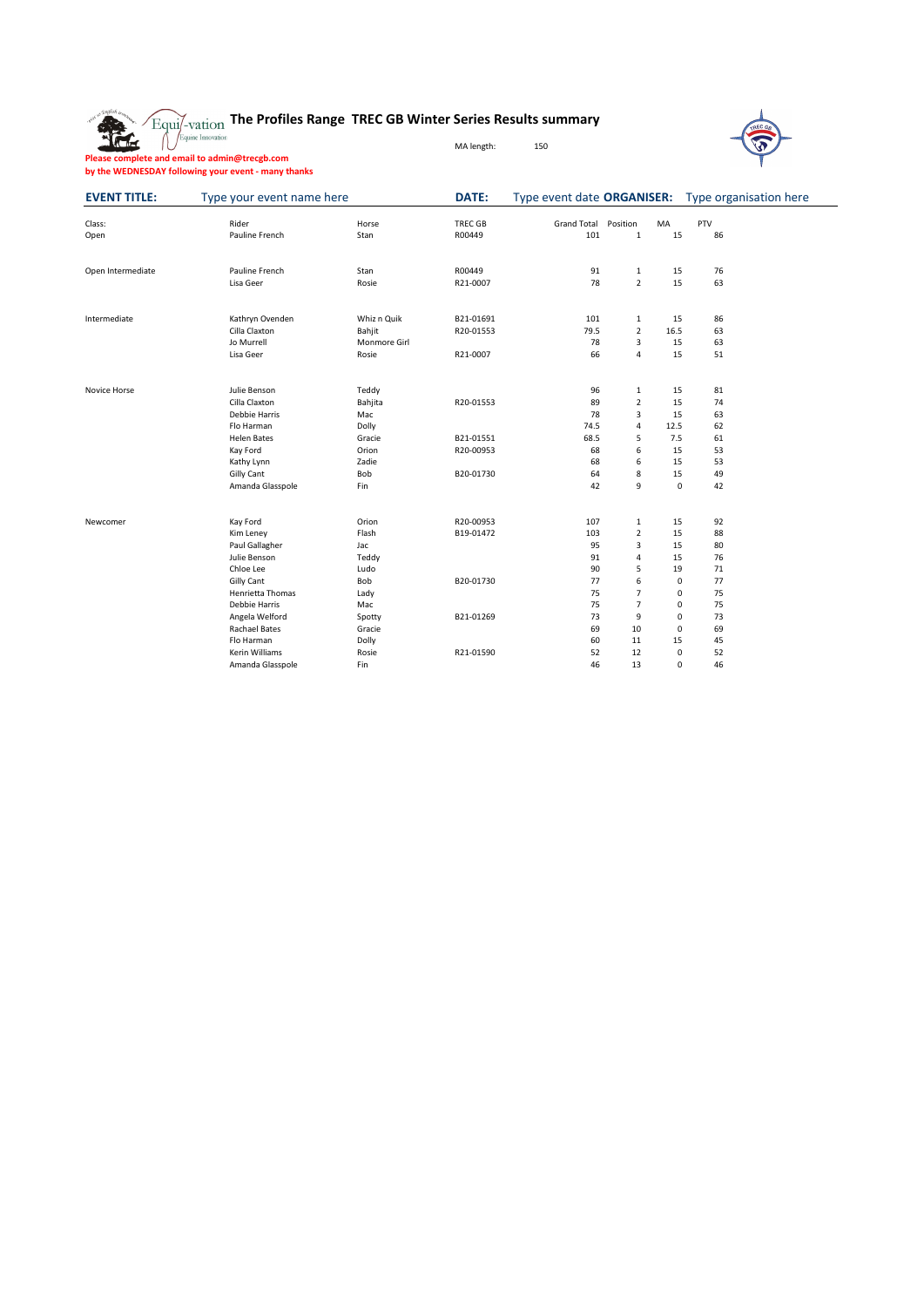

### **The Profiles Range TREC GB Winter Series Results summary**



MA length: 150

**Please complete and email to admin@trecgb.com**

**by the WEDNESDAY following your event - many thanks**

| <b>EVENT TITLE:</b> | Type your event name here |              | <b>DATE:</b> | Type event date ORGANISER:  |                |      |     | Type organisation here |
|---------------------|---------------------------|--------------|--------------|-----------------------------|----------------|------|-----|------------------------|
| Class:              | Rider                     | Horse        | TREC GB      | <b>Grand Total Position</b> |                | MA   | PTV |                        |
| Open                | Pauline French            | Stan         | R00449       | 101                         | $\mathbf{1}$   | 15   | 86  |                        |
|                     |                           |              |              |                             |                |      |     |                        |
| Open Intermediate   | Pauline French            | Stan         | R00449       | 91                          | $\mathbf{1}$   | 15   | 76  |                        |
|                     | Lisa Geer                 | Rosie        | R21-0007     | 78                          | $\overline{2}$ | 15   | 63  |                        |
| Intermediate        | Kathryn Ovenden           | Whiz n Quik  | B21-01691    | 101                         | $\mathbf{1}$   | 15   | 86  |                        |
|                     | Cilla Claxton             | Bahjit       | R20-01553    | 79.5                        | $\overline{2}$ | 16.5 | 63  |                        |
|                     | Jo Murrell                | Monmore Girl |              | 78                          | 3              | 15   | 63  |                        |
|                     | Lisa Geer                 | Rosie        | R21-0007     | 66                          | 4              | 15   | 51  |                        |
| Novice Horse        | Julie Benson              | Teddy        |              | 96                          | $\mathbf{1}$   | 15   | 81  |                        |
|                     | Cilla Claxton             | Bahjita      | R20-01553    | 89                          | $\overline{2}$ | 15   | 74  |                        |
|                     | Debbie Harris             | Mac          |              | 78                          | 3              | 15   | 63  |                        |
|                     | Flo Harman                | Dolly        |              | 74.5                        | 4              | 12.5 | 62  |                        |
|                     | <b>Helen Bates</b>        | Gracie       | B21-01551    | 68.5                        | 5              | 7.5  | 61  |                        |
|                     | Kay Ford                  | Orion        | R20-00953    | 68                          | 6              | 15   | 53  |                        |
|                     | Kathy Lynn                | Zadie        |              | 68                          | 6              | 15   | 53  |                        |
|                     | <b>Gilly Cant</b>         | Bob          | B20-01730    | 64                          | 8              | 15   | 49  |                        |
|                     | Amanda Glasspole          | Fin          |              | 42                          | 9              | 0    | 42  |                        |
| Newcomer            | Kay Ford                  | Orion        | R20-00953    | 107                         | $\mathbf{1}$   | 15   | 92  |                        |
|                     | Kim Leney                 | Flash        | B19-01472    | 103                         | $\overline{2}$ | 15   | 88  |                        |
|                     | Paul Gallagher            | Jac          |              | 95                          | 3              | 15   | 80  |                        |
|                     | Julie Benson              | Teddy        |              | 91                          | $\overline{4}$ | 15   | 76  |                        |
|                     | Chloe Lee                 | Ludo         |              | 90                          | 5              | 19   | 71  |                        |
|                     | <b>Gilly Cant</b>         | Bob          | B20-01730    | 77                          | 6              | 0    | 77  |                        |
|                     | Henrietta Thomas          | Lady         |              | 75                          |                | 0    | 75  |                        |
|                     | Debbie Harris             | Mac          |              | 75                          |                | 0    | 75  |                        |
|                     | Angela Welford            | Spotty       | B21-01269    | 73                          | 9              | 0    | 73  |                        |
|                     | <b>Rachael Bates</b>      | Gracie       |              | 69                          | 10             | 0    | 69  |                        |
|                     | Flo Harman                | Dolly        |              | 60                          | 11             | 15   | 45  |                        |
|                     | Kerin Williams            | Rosie        | R21-01590    | 52                          | 12             | 0    | 52  |                        |
|                     | Amanda Glasspole          | Fin          |              | 46                          | 13             | 0    | 46  |                        |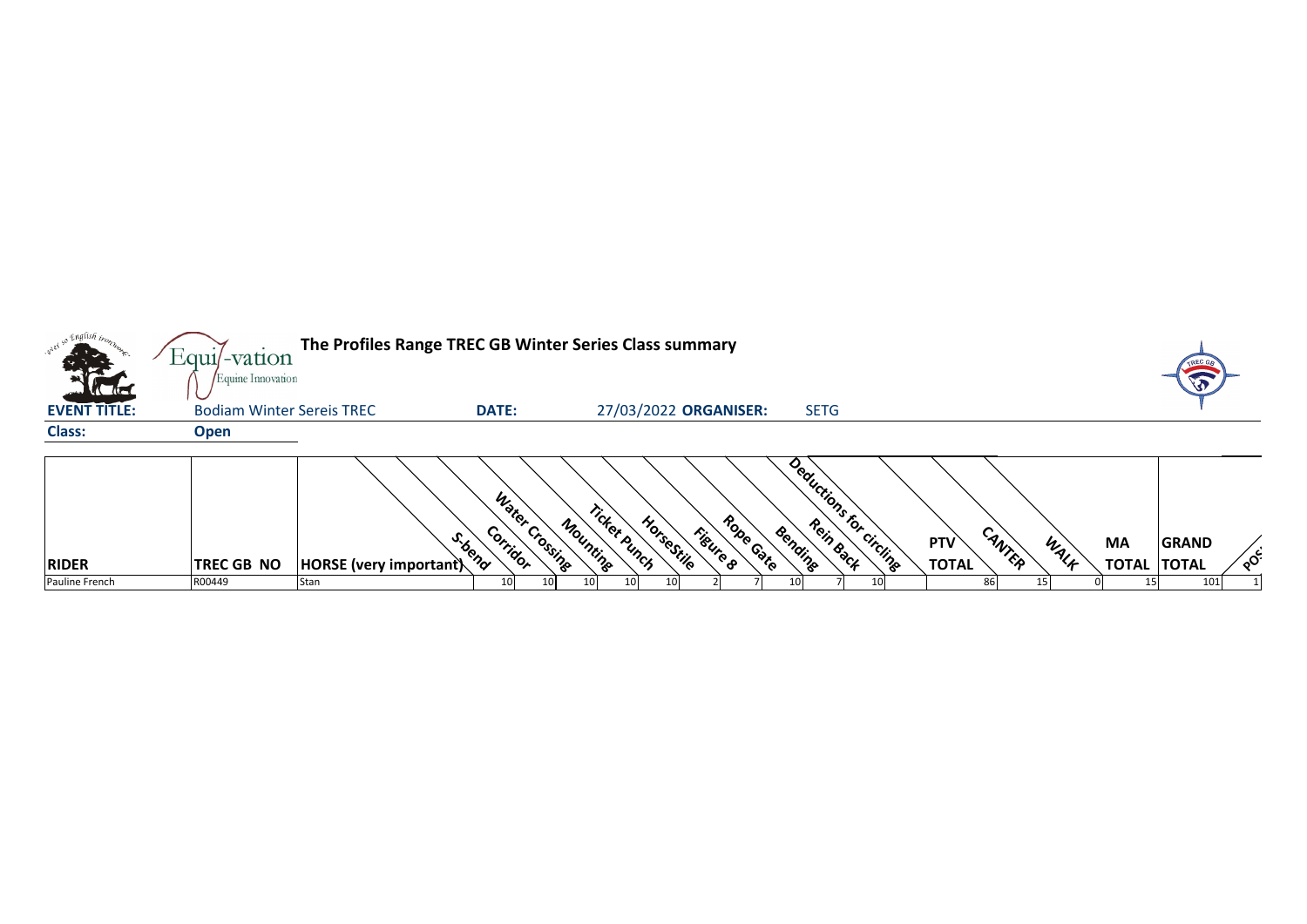|                     | Equil-vation<br>Equine Innovation | The Profiles Range TREC GB Winter Series Class summary |                                       |                                        |                       |             |                         |                                      |                   |                                           |
|---------------------|-----------------------------------|--------------------------------------------------------|---------------------------------------|----------------------------------------|-----------------------|-------------|-------------------------|--------------------------------------|-------------------|-------------------------------------------|
| <b>EVENT TITLE:</b> | <b>Bodiam Winter Sereis TREC</b>  |                                                        | <b>DATE:</b>                          | 27/03/2022 ORGANISER:                  |                       | <b>SETG</b> |                         |                                      |                   |                                           |
| <b>Class:</b>       | <b>Open</b>                       |                                                        |                                       |                                        |                       |             |                         |                                      |                   |                                           |
| <b>RIDER</b>        | <b>TREC GB NO</b>                 | <b>HORSE</b> (very important)                          | Water Crossing<br>Corridor<br>S. bend | Ticket Punch<br>HorseStile<br>Mounting | Rope Gate<br>Figure & | Bending     | Deductions for circling | CANTER<br><b>PTV</b><br><b>TOTAL</b> | WALK<br><b>MA</b> | <b>GRAND</b><br>್ಳಂ<br><b>TOTAL TOTAL</b> |
| Pauline French      | R00449                            | Stan                                                   | 10 <sup>1</sup><br>10 <sup>1</sup>    |                                        |                       | 10I         |                         | 86                                   |                   | 101                                       |



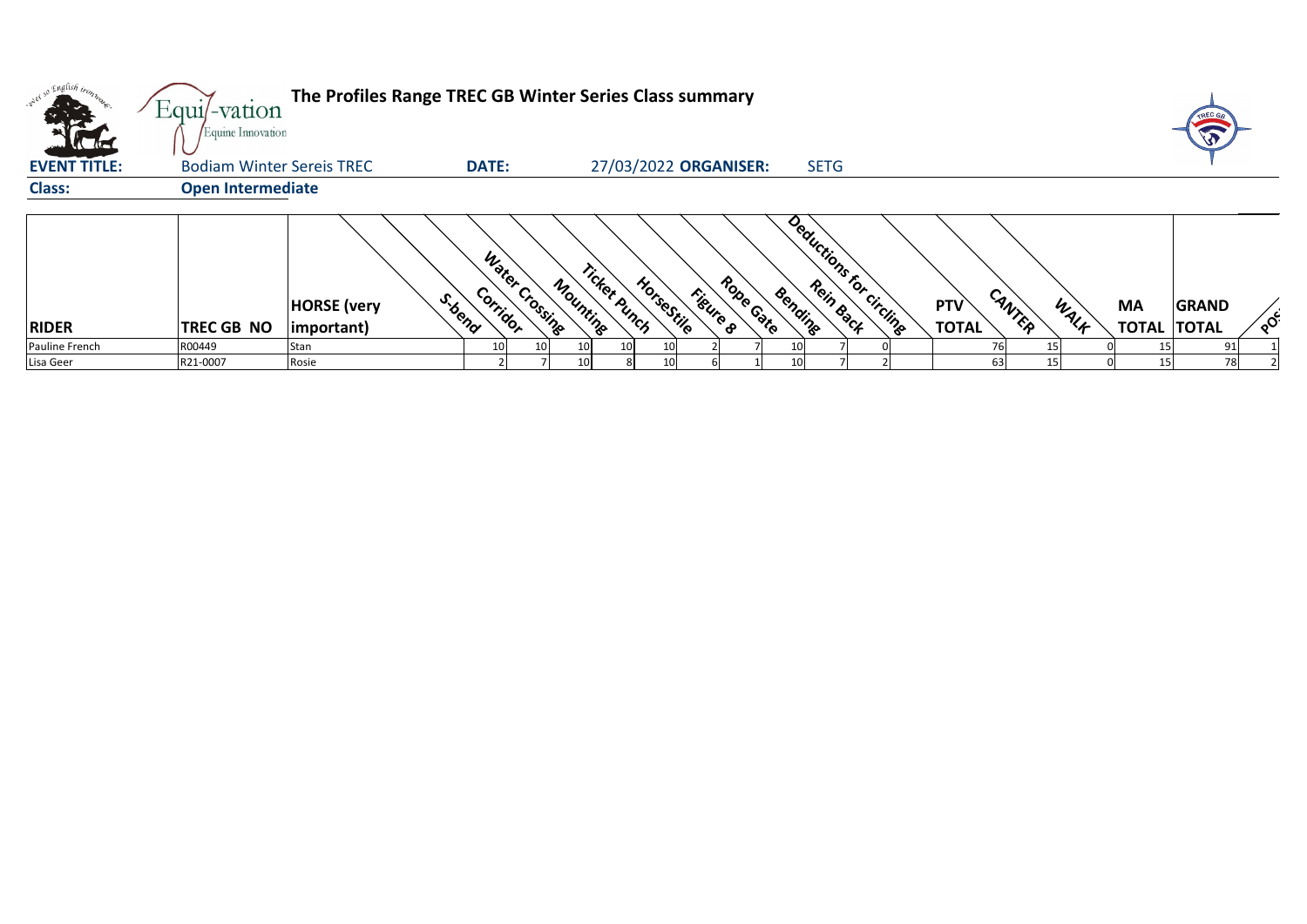| oney so English iron. | Equil-vation<br>Equine Innovation | The Profiles Range TREC GB Winter Series Class summary |                                       |          |                                        |                      |                         |                                      |      |                                 |              |                                     |
|-----------------------|-----------------------------------|--------------------------------------------------------|---------------------------------------|----------|----------------------------------------|----------------------|-------------------------|--------------------------------------|------|---------------------------------|--------------|-------------------------------------|
| <b>EVENT TITLE:</b>   | <b>Bodiam Winter Sereis TREC</b>  |                                                        | <b>DATE:</b>                          |          | 27/03/2022 ORGANISER:                  |                      | <b>SETG</b>             |                                      |      |                                 |              |                                     |
| <b>Class:</b>         | <b>Open Intermediate</b>          |                                                        |                                       |          |                                        |                      |                         |                                      |      |                                 |              |                                     |
| <b>RIDER</b>          | <b>TREC GB NO</b>                 | <b>HORSE</b> (very<br>$ important\rangle$              | Water Crossing<br>Corridor<br>S. bend | Mounting | Ticket Punch<br>HorseStile<br>Figure & | Robe Gate<br>Bending | Deductions for circling | CANTER<br><b>PTV</b><br><b>TOTAL</b> | WALK | <b>MA</b><br><b>TOTAL TOTAL</b> | <b>GRAND</b> | $\lambda_{\mathbf{Q}}^{\mathbf{C}}$ |
| Pauline French        | R00449                            | Stan                                                   |                                       | 10I      | 10                                     | 10                   |                         |                                      |      |                                 | $91_1$       |                                     |
| Lisa Geer             | R21-0007                          | Rosie                                                  |                                       |          |                                        | 10I                  |                         | 63                                   | 15.  | 15 <sub>1</sub>                 | 78           |                                     |



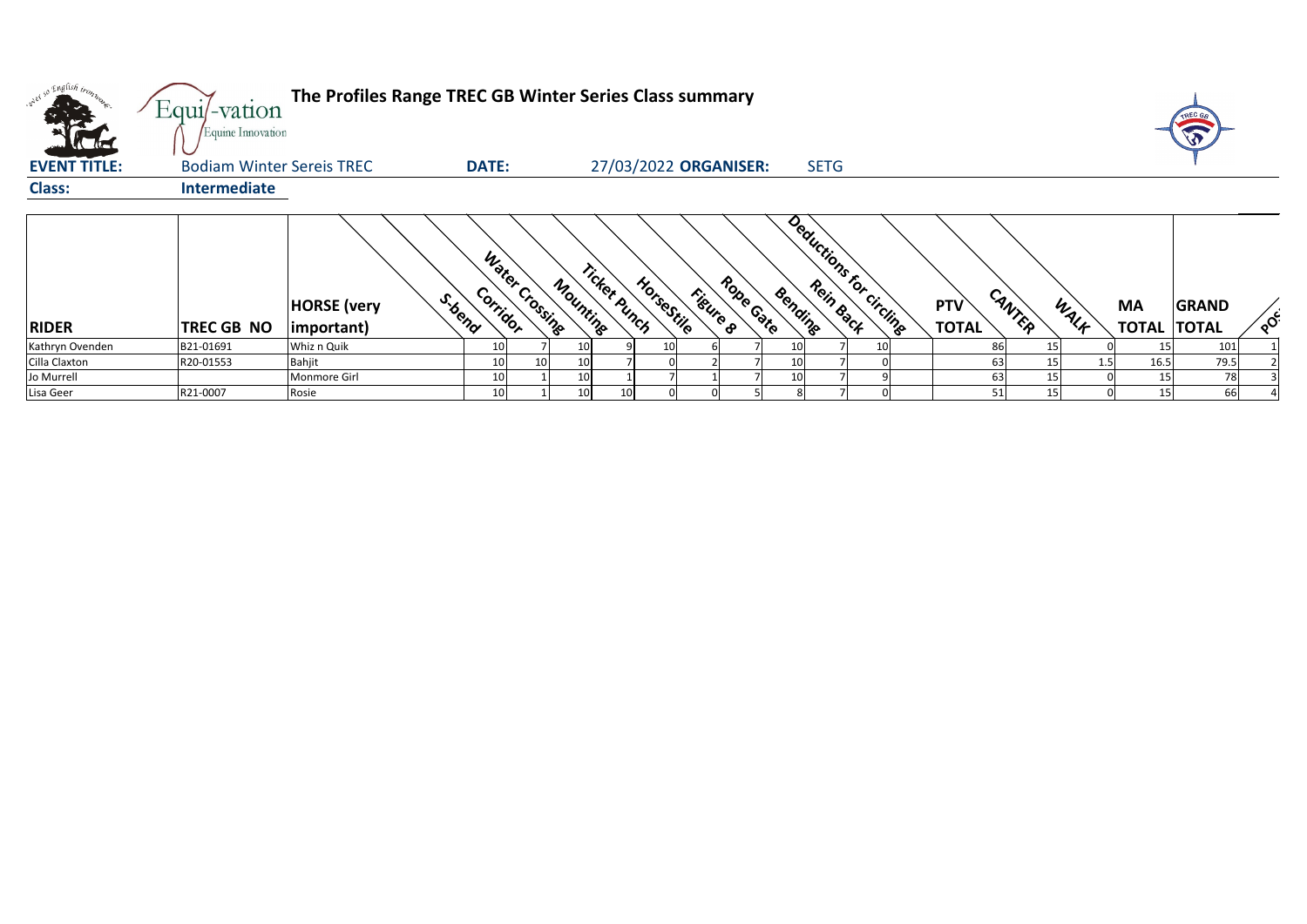|                     | Equi/-vation<br>Equine Innovation | The Profiles Range TREC GB Winter Series Class summary |                            |                 |          |                             |          |           |                 |             |                         |                            |        |      |                                 | TREC GE      |        |
|---------------------|-----------------------------------|--------------------------------------------------------|----------------------------|-----------------|----------|-----------------------------|----------|-----------|-----------------|-------------|-------------------------|----------------------------|--------|------|---------------------------------|--------------|--------|
| <b>EVENT TITLE:</b> | <b>Bodiam Winter Sereis TREC</b>  |                                                        | <b>DATE:</b>               |                 |          | 27/03/2022 ORGANISER:       |          |           |                 | <b>SETG</b> |                         |                            |        |      |                                 |              |        |
| <b>Class:</b>       | Intermediate                      |                                                        |                            |                 |          |                             |          |           |                 |             |                         |                            |        |      |                                 |              |        |
| <b>RIDER</b>        | <b>TREC GB NO</b>                 | S.bend<br><b>HORSE</b> (very<br>$ important\rangle$    | Water Crossing<br>Corridor |                 | Mounting | Ticket Punch<br>HorseStille | Figure 8 | Robe Gate | Bending         |             | Deductions for circling | <b>PTV</b><br><b>TOTAL</b> | CANTER | WALF | <b>MA</b><br><b>TOTAL TOTAL</b> | <b>GRAND</b> | $\sim$ |
| Kathryn Ovenden     | B21-01691                         | Whiz n Quik                                            | 10                         |                 |          |                             |          |           | 10I             |             |                         |                            | 86     | 15   |                                 | 101          |        |
| Cilla Claxton       | R20-01553                         | <b>Bahjit</b>                                          | 10                         | 10 <sup>1</sup> | 10       |                             |          |           |                 |             |                         |                            | 63     |      | 16.5                            | 79.5         |        |
| Jo Murrell          |                                   | Monmore Girl                                           | 10                         |                 | 10       |                             |          |           | 10 <sup>1</sup> |             |                         |                            | 63     | 15   | 15                              | 78           |        |
| Lisa Geer           | R21-0007                          | Rosie                                                  | 10                         |                 | 10       | 10 <sup>1</sup>             |          |           |                 |             |                         |                            | 51     | 15   | 15                              | 66           |        |



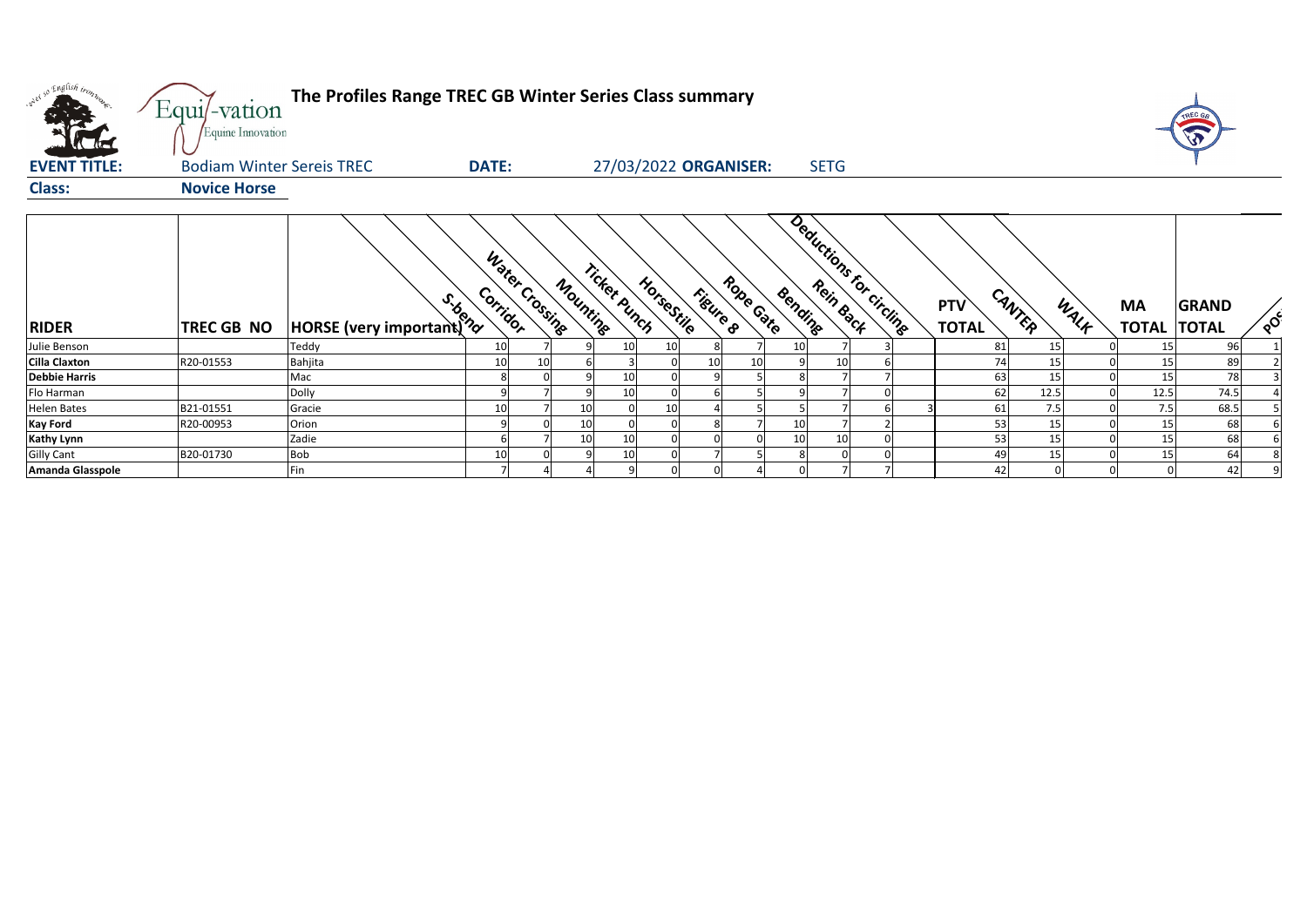| onel so English trom.                  | Equi/-vation<br>Equine Innovation | The Profiles Range TREC GB Winter Series Class summary |              |                |          |              |                       |          |           |         |             |                          |                            |        |      |                                 | TREC GA                  |
|----------------------------------------|-----------------------------------|--------------------------------------------------------|--------------|----------------|----------|--------------|-----------------------|----------|-----------|---------|-------------|--------------------------|----------------------------|--------|------|---------------------------------|--------------------------|
| <b>EVENT TITLE:</b>                    | <b>Bodiam Winter Sereis TREC</b>  |                                                        | <b>DATE:</b> |                |          |              | 27/03/2022 ORGANISER: |          |           |         | <b>SETG</b> |                          |                            |        |      |                                 |                          |
| <b>Class:</b>                          | <b>Novice Horse</b>               |                                                        |              |                |          |              |                       |          |           |         |             |                          |                            |        |      |                                 |                          |
| <b>RIDER</b>                           | TREC GB NO                        | HORSE (very important) ??                              | Corridor     | Water Crossing | Mounting | Ticket punch | HorseStile            | Figure 8 | Robe Gate | Bending |             | Deductions for circlinge | <b>PTV</b><br><b>TOTAL</b> | CANTER | WALK | <b>MA</b><br><b>TOTAL TOTAL</b> | <b>GRAND</b><br>$\delta$ |
| Julie Benson                           |                                   |                                                        | 10           |                |          |              | 10                    |          |           | 10      |             |                          | 81                         | 15     |      |                                 | 96                       |
| <b>Cilla Claxton</b>                   | R20-01553                         | Bahjita                                                | 10           |                |          |              |                       | 10       | 10        |         |             |                          | 74                         | 15     |      | 15                              | 89                       |
| <b>Debbie Harris</b>                   |                                   | Mac                                                    | 8            |                |          |              |                       |          |           |         |             |                          | 63                         | 15     |      | 15                              | 78                       |
| Flo Harman                             |                                   | Dolly                                                  | Q            |                |          |              |                       |          |           |         |             |                          | 62                         | 12.5   |      | 12.5                            | 74.5                     |
| <b>Helen Bates</b>                     | B21-01551                         | Gracie                                                 | 10           |                |          |              | 10                    |          |           |         |             |                          | 61                         | 7.5    |      | 7.5                             | 68.5                     |
| <b>Kay Ford</b>                        | R20-00953                         | Orion                                                  |              |                |          |              |                       |          |           | 10      |             |                          | 53                         | 15     |      | 15                              | 68                       |
| <b>Kathy Lynn</b><br><b>Gilly Cant</b> |                                   | Zadie                                                  |              |                | 10       | 10           |                       |          |           | 10      | 10          |                          | 53                         | 15     |      | 15                              | 68                       |
|                                        | B20-01730                         | Bob                                                    | 10           |                |          |              |                       |          |           |         |             |                          | 49                         | 15     |      | 15                              | 64                       |

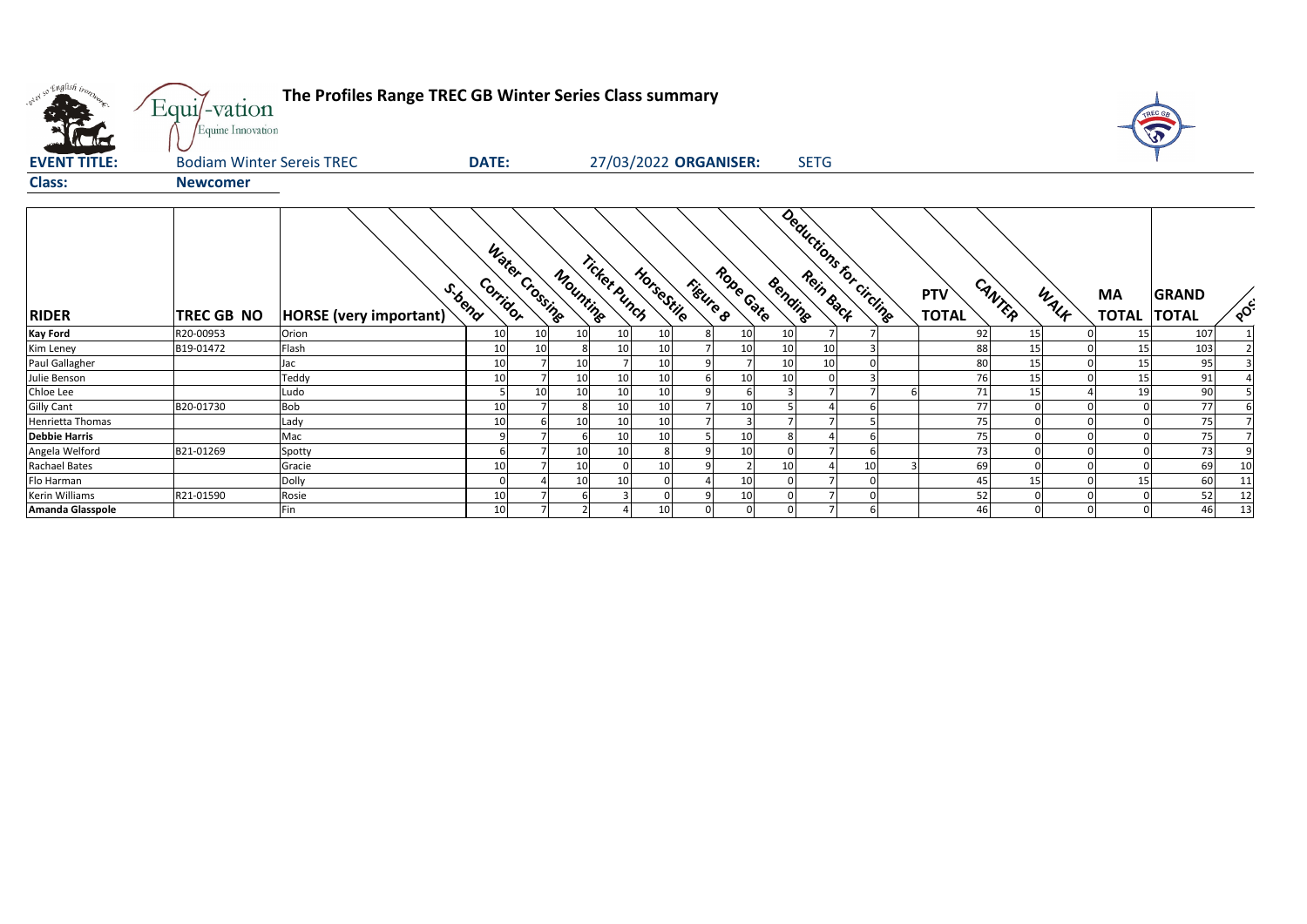| oner so English trong | Equi/-vation<br>Equine Innovation | The Profiles Range TREC GB Winter Series Class summary |                                        |                          |                       |                       |                                    |    |                                      |                |                           | <b>SP</b>                    |              |
|-----------------------|-----------------------------------|--------------------------------------------------------|----------------------------------------|--------------------------|-----------------------|-----------------------|------------------------------------|----|--------------------------------------|----------------|---------------------------|------------------------------|--------------|
| <b>EVENT TITLE:</b>   | <b>Bodiam Winter Sereis TREC</b>  |                                                        | <b>DATE:</b>                           |                          | 27/03/2022 ORGANISER: |                       | <b>SETG</b>                        |    |                                      |                |                           |                              |              |
| <b>Class:</b>         | <b>Newcomer</b>                   |                                                        |                                        |                          |                       |                       |                                    |    |                                      |                |                           |                              |              |
| <b>RIDER</b>          | <b>TREC GB NO</b>                 | <b>HORSE</b> (very important)                          | Water Crossing<br>Corridor<br>S. toend | Ticket Punch<br>Mounting | HorseStile            | Robe Gate<br>Figure 8 | Deductions for circline<br>Bending |    | CANTER<br><b>PTV</b><br><b>TOTAL</b> | WALK           | <b>MA</b><br><b>TOTAL</b> | <b>GRAND</b><br><b>TOTAL</b> | POC          |
| <b>Kay Ford</b>       | R20-00953                         | Orion                                                  | 10<br>10                               | 10                       | 10<br>10              | 10                    | 10                                 |    | 92                                   | 15             | -15                       | 107                          | $\mathbf{1}$ |
| Kim Leney             | B19-01472                         | Flash                                                  | 10<br>10                               |                          | 10<br>10              | 10                    | 10<br>10                           |    | 88                                   | 15<br>$\Omega$ | 15                        | 103                          |              |
| Paul Gallagher        |                                   | Jac                                                    | 10                                     | 10                       | 10                    |                       | 10<br>10                           |    | 80                                   | 15             | 15                        | 95                           |              |
| Julie Benson          |                                   | Teddy                                                  | 10                                     | 10                       | 10<br>10              | 10                    | 10                                 |    | 76                                   | 15<br>$\Omega$ | 15                        | 91                           |              |
| Chloe Lee             |                                   | Ludo                                                   | 10                                     | 10                       | 10<br>10              |                       |                                    |    | 71                                   | 15             | 19                        | 90                           |              |
| <b>Gilly Cant</b>     | B20-01730                         | Bob                                                    | 10                                     | $\overline{7}$           | 10<br>10              | 10                    |                                    |    | 77                                   | $\Omega$       |                           | 77                           |              |
| Henrietta Thomas      |                                   | Lady                                                   | 10                                     | 10<br>6                  | 10<br>10              |                       |                                    |    | 75                                   | $\Omega$       |                           | 75                           |              |
| <b>Debbie Harris</b>  |                                   | Mac                                                    |                                        |                          | 10<br>10              | 10                    |                                    |    | 75                                   |                |                           | 75                           |              |
| Angela Welford        | B21-01269                         | Spotty                                                 |                                        | 10                       | 10                    | 10                    |                                    |    | 73                                   |                |                           | 73                           | q            |
| <b>Rachael Bates</b>  |                                   | Gracie                                                 | 10                                     | 10                       | 10                    |                       | 10                                 | 10 | 69                                   | $\Omega$       |                           | 69                           | 10           |
| Flo Harman            |                                   | Dolly                                                  |                                        | 10                       | 10                    | 10                    |                                    |    | 45                                   | 15<br>$\Omega$ |                           | 60                           | 11           |
| Kerin Williams        | R21-01590                         | Rosie                                                  | 10                                     |                          |                       | 10                    |                                    |    | 52                                   | $\Omega$       |                           | 52                           | 12           |
| Amanda Glasspole      |                                   | Fin                                                    | 10 <sup>1</sup>                        | $\overline{7}$           | 10                    |                       | ∩                                  |    | 46                                   | $\Omega$       |                           | 46                           | 13           |

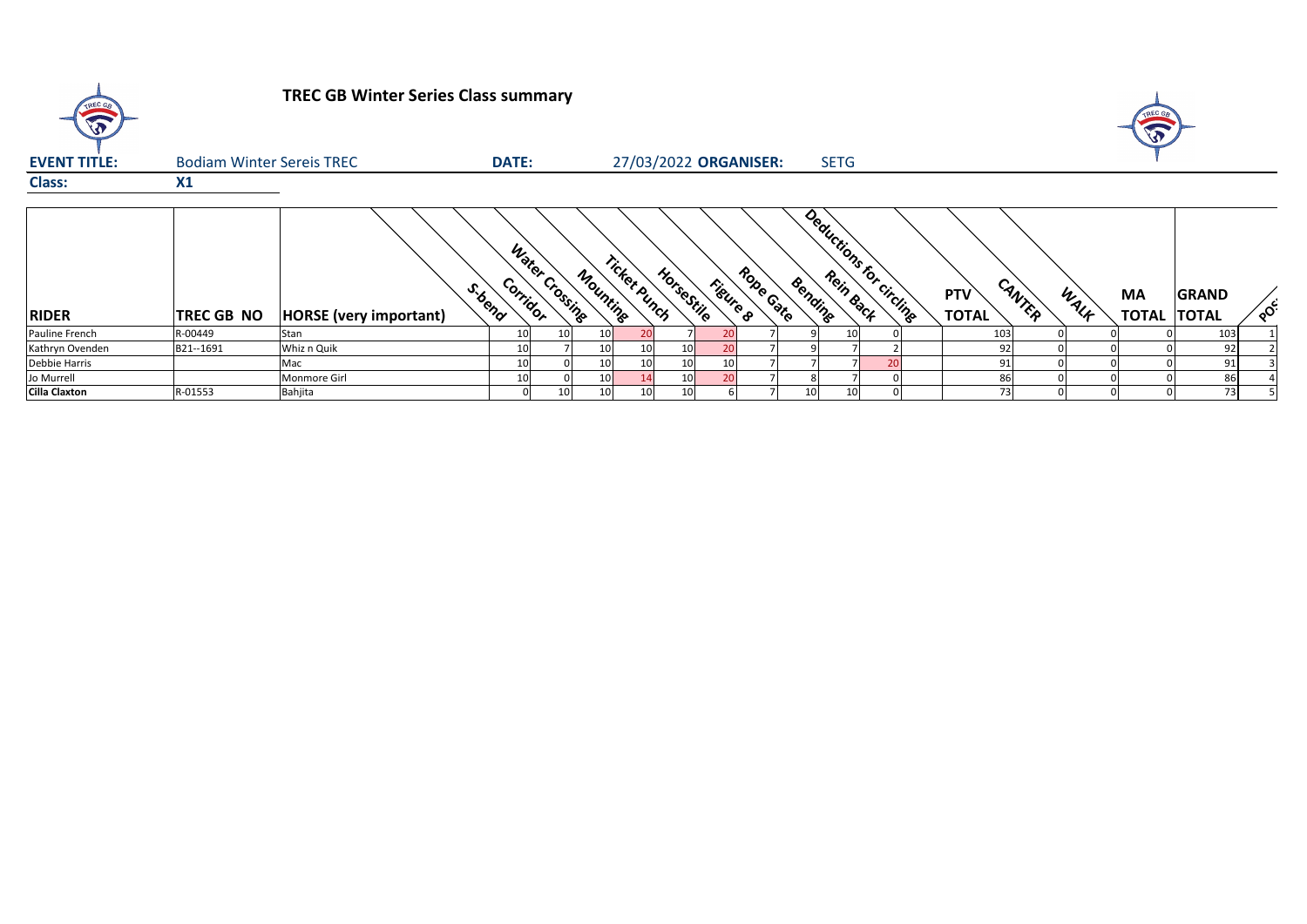

## **TREC GB Winter Series Class summary**



| <b>EVENT TITLE:</b>  | <b>Bodiam Winter Sereis TREC</b> |                               | <b>DATE:</b> |                            |          |                 | 27/03/2022 ORGANISER: |          |           |                 | <b>SETG</b>             |  |                               |      |                           |                              |        |
|----------------------|----------------------------------|-------------------------------|--------------|----------------------------|----------|-----------------|-----------------------|----------|-----------|-----------------|-------------------------|--|-------------------------------|------|---------------------------|------------------------------|--------|
| <b>Class:</b>        | X1                               |                               |              |                            |          |                 |                       |          |           |                 |                         |  |                               |      |                           |                              |        |
| <b>RIDER</b>         | <b>TREC GB NO</b>                | <b>HORSE</b> (very important) | S. bend      | Water Crossing<br>Corridor | Mounting | Ticket Punch    | HorseStile            | Figure 8 | Robe Gate | Bending         | Deductions for circling |  | CANTER<br>PTV<br><b>TOTAL</b> | WALF | <b>MA</b><br><b>TOTAL</b> | <b>GRAND</b><br><b>TOTAL</b> | $\sim$ |
| Pauline French       | R-00449                          | lStan                         |              |                            | 10       |                 |                       |          |           |                 |                         |  | 103                           |      |                           | 103                          |        |
| Kathryn Ovenden      | B21--1691                        | Whiz n Quik                   |              |                            | 10       | 10              |                       |          |           |                 |                         |  | 92                            |      |                           | 92                           |        |
| Debbie Harris        |                                  | Mac                           |              |                            | 10       | 10 <sub>1</sub> | 10                    |          |           |                 |                         |  | 91                            |      |                           | 91                           |        |
| Jo Murrell           |                                  | <b>Monmore Girl</b>           |              |                            | 10       |                 |                       |          |           |                 |                         |  | 86                            |      |                           | 86                           |        |
| <b>Cilla Claxton</b> | R-01553                          | Bahjita                       |              | 10 <sup>1</sup>            | 10       | 10 <sub>l</sub> |                       |          |           | 10 <sup>1</sup> |                         |  | 73                            |      |                           | 73                           |        |

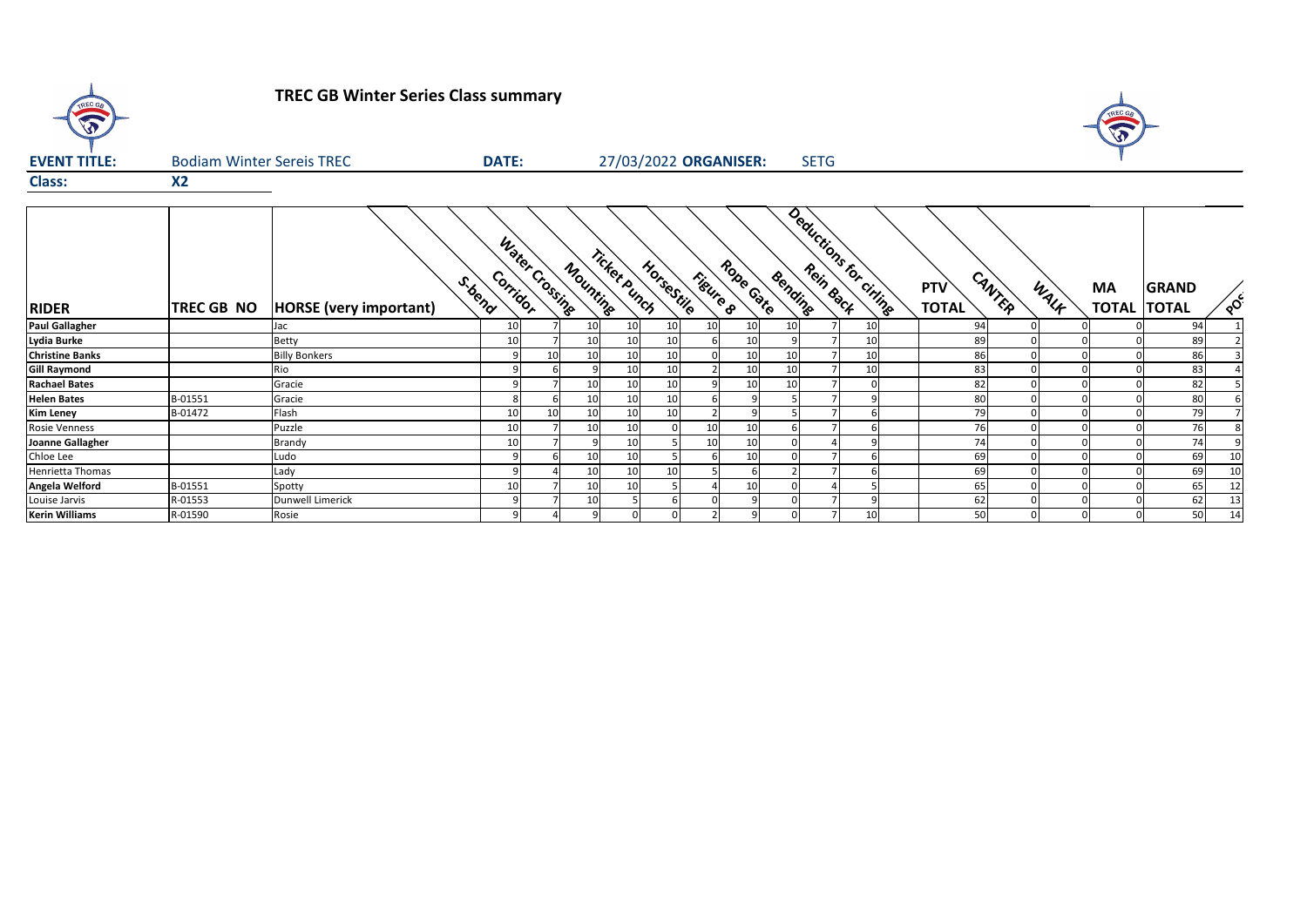

# **TREC GB Winter Series Class summary**

| <b>EVENT TITLE:</b>    | <b>Bodiam Winter Sereis TREC</b> |                               |                      | <b>DATE:</b>   |          |              | 27/03/2022 ORGANISER: |                 |                       |    | <b>SETG</b>                       |    |                               |                   |                                    |          |
|------------------------|----------------------------------|-------------------------------|----------------------|----------------|----------|--------------|-----------------------|-----------------|-----------------------|----|-----------------------------------|----|-------------------------------|-------------------|------------------------------------|----------|
| <b>Class:</b>          | X <sub>2</sub>                   |                               |                      |                |          |              |                       |                 |                       |    |                                   |    |                               |                   |                                    |          |
| <b>RIDER</b>           | <b>TREC GB NO</b>                | <b>HORSE</b> (very important) | Corridor<br>S. toend | Water Crossing | Mounting | Ticket Punch | HorseStile            |                 | Robe Gate<br>Fieure 8 |    | Deductions for ciringe<br>Bending |    | CANTER<br>PTV<br><b>TOTAL</b> | WALK<br><b>MA</b> | <b>GRAND</b><br><b>TOTAL TOTAL</b> | $\delta$ |
| <b>Paul Gallagher</b>  |                                  | Jac                           | 10                   |                | 10       | 10           | 10                    | 10 <sub>l</sub> | 10                    | 10 |                                   | 10 | 94                            |                   | 94                                 |          |
| Lydia Burke            |                                  | <b>Betty</b>                  |                      |                | 10       | 10           | 10                    | 6               | 10                    |    |                                   | 10 | 89                            |                   | 89                                 |          |
| <b>Christine Banks</b> |                                  | <b>Billy Bonkers</b>          |                      | 10             | 10       | 10           |                       |                 | 10                    | 10 |                                   | 10 | 86                            |                   | 86                                 |          |
| <b>Gill Raymond</b>    |                                  | Rio                           |                      |                |          | 10           | 10                    |                 | 10                    | 10 |                                   | 10 | 83                            |                   | 83                                 |          |
| <b>Rachael Bates</b>   |                                  | Gracie                        |                      |                | 10       | 10           | 10                    |                 | 10                    | 10 |                                   |    | 82                            |                   | 82                                 |          |
| <b>Helen Bates</b>     | B-01551                          | Gracie                        |                      |                | 10       | 10           | 10                    | 6               |                       |    |                                   |    | 80                            |                   | 80                                 |          |
| <b>Kim Leney</b>       | B-01472                          | Flash                         |                      | 10             | 10       | 10           | 10                    |                 |                       |    |                                   |    | 79                            |                   | 79                                 |          |
| Rosie Venness          |                                  | Puzzle                        |                      |                | 10       | 10           |                       | 10              | 10                    |    |                                   |    | 76                            |                   | 76                                 |          |
| Joanne Gallagher       |                                  | <b>Brandy</b>                 |                      |                |          | 10           |                       | 10              | 10                    |    |                                   |    | 74                            |                   | 74                                 |          |
| Chloe Lee              |                                  | Ludo                          |                      |                | 10       | 10           |                       |                 | 10                    |    |                                   |    | 69                            |                   | 69                                 | 10       |
| Henrietta Thomas       |                                  | Lady                          |                      |                | 10       | 10           | 10                    |                 |                       |    |                                   |    | 69                            |                   | 69                                 | 10       |
| Angela Welford         | B-01551                          | Spotty                        |                      |                | 10       | 10           |                       |                 | 10                    |    |                                   |    | 65                            |                   | 65                                 | 12       |
| Louise Jarvis          | R-01553                          | <b>Dunwell Limerick</b>       |                      |                | 10       |              |                       |                 |                       |    |                                   |    | 62                            |                   | 62                                 | 13       |
| <b>Kerin Williams</b>  | R-01590                          | Rosie                         |                      |                |          |              |                       |                 |                       |    |                                   | 10 | 50                            |                   | 50                                 | 14       |